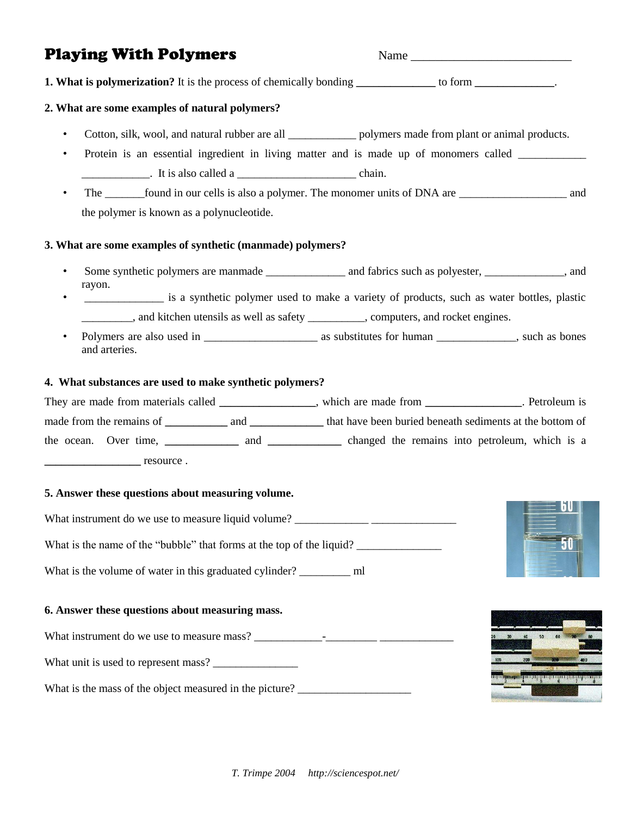# Playing With Polymers Name Name Name 2014

**1. What is polymerization?** It is the process of chemically bonding **\_\_\_\_\_\_\_\_\_\_\_\_\_\_** to form **\_\_\_\_\_\_\_\_\_\_\_\_\_\_**.

### **2. What are some examples of natural polymers?**

- Cotton, silk, wool, and natural rubber are all \_\_\_\_\_\_\_\_\_\_\_\_\_ polymers made from plant or animal products.
- Protein is an essential ingredient in living matter and is made up of monomers called \_\_\_\_\_\_\_\_\_\_\_\_ . It is also called a chain.
- The found in our cells is also a polymer. The monomer units of DNA are \_\_\_\_\_\_\_\_\_\_\_\_\_\_\_\_ and the polymer is known as a polynucleotide.

### **3. What are some examples of synthetic (manmade) polymers?**

- Some synthetic polymers are manmade \_\_\_\_\_\_\_\_\_\_\_\_\_\_ and fabrics such as polyester, \_\_\_\_\_\_\_\_\_\_\_\_\_, and rayon.
- is a synthetic polymer used to make a variety of products, such as water bottles, plastic  $\Box$ , and kitchen utensils as well as safety  $\Box$ , computers, and rocket engines.
- Polymers are also used in as substitutes for human such as bones and arteries.

### **4. What substances are used to make synthetic polymers?**

| They are made from materials called |     | which are made from                                      | Petroleum is |
|-------------------------------------|-----|----------------------------------------------------------|--------------|
| made from the remains of            | and | that have been buried beneath sediments at the bottom of |              |
| the ocean. Over time,               | and | changed the remains into petroleum, which is a           |              |
| resource.                           |     |                                                          |              |

### **5. Answer these questions about measuring volume.**

What instrument do we use to measure liquid volume? What is the name of the "bubble" that forms at the top of the liquid? What is the volume of water in this graduated cylinder? ml



### **6. Answer these questions about measuring mass.**

What instrument do we use to measure mass? What unit is used to represent mass? \_\_\_\_\_\_\_\_\_\_\_\_\_\_\_ What is the mass of the object measured in the picture?

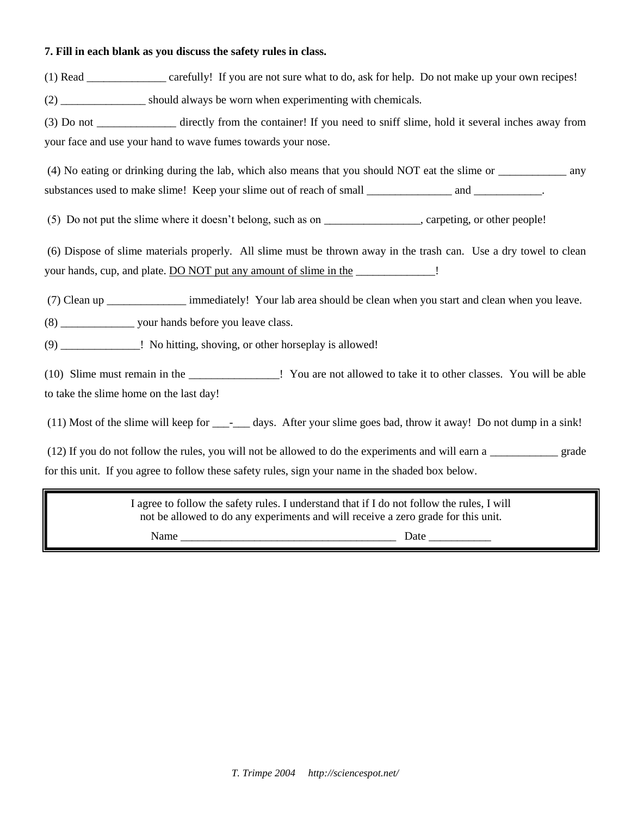### **7. Fill in each blank as you discuss the safety rules in class.**

(1) Read \_\_\_\_\_\_\_\_\_\_\_\_\_\_ carefully! If you are not sure what to do, ask for help. Do not make up your own recipes!

(2) should always be worn when experimenting with chemicals.

(3) Do not \_\_\_\_\_\_\_\_\_\_\_\_\_\_ directly from the container! If you need to sniff slime, hold it several inches away from your face and use your hand to wave fumes towards your nose.

(4) No eating or drinking during the lab, which also means that you should NOT eat the slime or \_\_\_\_\_\_\_\_\_\_\_\_ any substances used to make slime! Keep your slime out of reach of small \_\_\_\_\_\_\_\_\_\_\_\_\_\_\_\_ and \_\_\_\_\_\_\_\_\_\_\_.

(5) Do not put the slime where it doesn't belong, such as on \_\_\_\_\_\_\_\_\_\_\_\_\_\_\_\_\_, carpeting, or other people!

(6) Dispose of slime materials properly. All slime must be thrown away in the trash can. Use a dry towel to clean your hands, cup, and plate. DO NOT put any amount of slime in the \_\_\_\_\_\_\_\_\_\_\_\_\_\_!

(7) Clean up \_\_\_\_\_\_\_\_\_\_\_\_\_\_ immediately! Your lab area should be clean when you start and clean when you leave.

(8) \_\_\_\_\_\_\_\_\_\_\_\_\_ your hands before you leave class.

(9) No hitting, shoving, or other horseplay is allowed!

(10) Slime must remain in the \_\_\_\_\_\_\_\_\_\_\_\_\_\_\_\_! You are not allowed to take it to other classes. You will be able to take the slime home on the last day!

(11) Most of the slime will keep for \_\_\_-\_\_\_ days. After your slime goes bad, throw it away! Do not dump in a sink!

(12) If you do not follow the rules, you will not be allowed to do the experiments and will earn a \_\_\_\_\_\_\_\_\_\_\_\_ grade for this unit. If you agree to follow these safety rules, sign your name in the shaded box below.

> I agree to follow the safety rules. I understand that if I do not follow the rules, I will not be allowed to do any experiments and will receive a zero grade for this unit.

Name \_\_\_\_\_\_\_\_\_\_\_\_\_\_\_\_\_\_\_\_\_\_\_\_\_\_\_\_\_\_\_\_\_\_\_\_\_\_ Date \_\_\_\_\_\_\_\_\_\_\_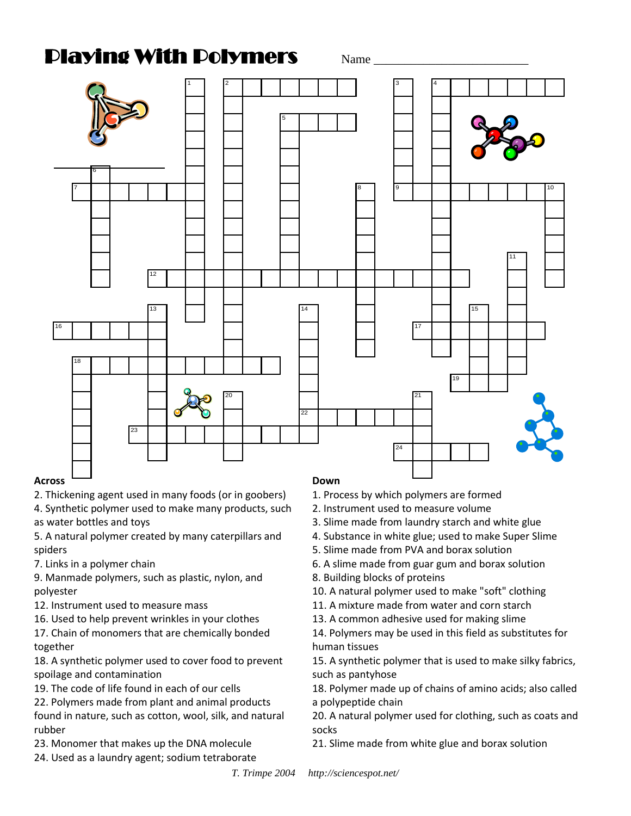# **Crossword Playing With Polymers**  $\qquad$   $_{\text{Name}}$



## **Across**

2. Thickening agent used in many foods (or in goobers)

as water bottles and toys **Across Bottles** and toys **Across Bottles Across Bottles Bottles Bottles Bottles Bottles Bottles Bottles Bottles Bottles Bottles Bottles Bottles Bottles Bottles** 4. Synthetic polymer used to make many products, such

5. A natural polymer created by many caterpillars and spiders

7. Links in a polymer chain

9. Manmade polymers, such as plastic, nylon, and 5. A natural polymer created by many caterpillars polyester

- por, ester<br>12. Instrument used to measure mass
- 12. Instrument used to measure mass<br>16. Used to help prevent wrinkles in your clothes 10. Osed to help prevent whinkies in your clothes

17. Chain of monomers that are chemically bonded 12. Instrument used to measure mass of the measure mass of the measure mass of the measure mass of the measure<br>Instrument used to measure mass of the measure mass of the measure mass of the measure mass of the measure mas together

18. A synthetic polymer used to cover food to prevent spoilage and contamination

19. The code of life found in each of our cells

22. Polymers made from plant and animal products  $\rho$  found in nature, such as cotton, wool, sil

found in nature, such as cotton, wool, silk, and natural<br>rubber rubber

rasse.<br>23. Monomer that makes up the DNA molecule found in the such as contracted in the such as contracted in the such as contracted in the such as contracted in the signal such as contracted in the such as contracted in the such as contracted in the such as contracted i

24. Used as a laundry agent; sodium tetraborate

### **Down**

- 1. Process by which polymers are formed
- 2. Instrument used to measure volume
- 3. Slime made from laundry starch and white glue
- 4. Substance in white glue; used to make Super Slime
- 5. Slime made from PVA and borax solution
- 6. A slime made from guar gum and borax solution
- 8. Building blocks of proteins
- 10. A natural polymer used to make "soft" clothing
- 15. Submart and polymer asset to make solve borning<br>11. A mixture made from water and corn starch
- 11. A mixture made from water and corristaren<br>13. A common adhesive used for making slime

8. COMMON addesive used for making site<br>olymore may be used in this field as su 14. Polymers may be used in this field as substitutes for<br>humen tiesuse nan tissues<br>A mixture made from water and corn starting from starting and corn starting from starting from starting and co human tissues

15. A synthetic polymer that is used to make silky fabrics, such as pantyhose used in this field as pantyhose

18. Polymer made up of chains of amino acids; also called a polypeptide chain is used to make silky and it used to make silky and the make silky and the make silky and

<sup>1</sup> Allies, such a having a pantyhor. The such as coats and 18. Polymer made up of chains of animals of also and animals of animals of animals of animals of animals of a<br>ks socks

 $\epsilon$  made from white glue and borax 21. Slime made from white glue and borax solution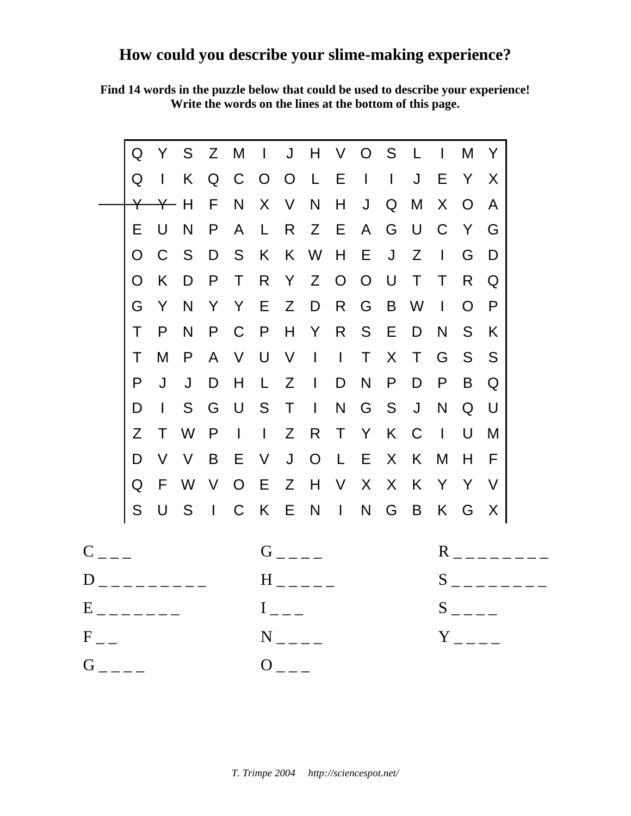# **How could you describe your slime-making experience?**

**Find 14 words in the puzzle below that could be used to describe your experience! Write the words on the lines at the bottom of this page.**

|          | Q                                         | Y                           | S      | Z            | M                             | $\Box$              | J              | H              | $\vee$         | $\overline{O}$            | S            |                     | $\mathbf{I}$        | M            | Y   |  |
|----------|-------------------------------------------|-----------------------------|--------|--------------|-------------------------------|---------------------|----------------|----------------|----------------|---------------------------|--------------|---------------------|---------------------|--------------|-----|--|
|          | Q                                         | $\mathbf{L}$                | K      | Q            | C                             | $\overline{O}$      | $\overline{O}$ | $\mathsf{L}$   | E              | $\mathbf{I}$              | $\mathbf{1}$ | $\mathsf J$         | Ε                   | Y            | X   |  |
|          | $\overline{\mathsf{Y}}$                   | $\boldsymbol{\vphantom{1}}$ | H      | F            | N                             | X                   | V              | N              | H              | J                         | Q            | M                   | X                   | $\Omega$     | A   |  |
|          | Е                                         | U                           | N      | P            | A                             | $\mathsf{L}$        | R              | Z              | E              | $\mathsf{A}$              | G            | U                   | C                   | Y            | G   |  |
|          | O                                         | C                           | S      | D            | S                             | K                   | K              | W              | H              | Е                         | J            | Z                   | $\mathbf{I}$        | G            | D   |  |
|          | O                                         | K                           | D      | P            | $\top$                        | R                   | Y              | Z              | $\overline{O}$ | $\overline{O}$            | U            | T                   | Τ                   | R            | Q   |  |
|          | G                                         | Y                           | N      | Y            | Y                             | E                   | Z              | D              | R              | G                         | B            | W                   | $\mathbf{I}$        | O            | P   |  |
|          | T                                         | P                           | N      | P            | C                             | P                   | H              | Y              | R              | S                         | Е            | D                   | N                   | S            | K   |  |
|          | Τ                                         | M                           | P      | $\mathsf{A}$ | $\vee$                        | $\bigcup$           | V              | $\mathbf{I}$   | $\mathbf{T}$   | $\top$                    | X            | $\top$              | G                   | S            | S   |  |
|          | P                                         | J                           | J      | D            | H                             | $\mathsf{L}$        | $Z \cup$       |                | D              | N                         | P            | D                   | P                   | B            | Q   |  |
|          | D                                         | $\mathbf{I}$                | S      | G            | $\bigcup$                     | S                   | $\top$         | $\mathbb{R}$   | N              | G                         | S            | J                   | N                   | Q            | U   |  |
|          | Z                                         | T                           | W      | P            | $\mathbf{1}$ and $\mathbf{1}$ |                     | Z              | R              | $\top$         | Y                         | K            | $\mathsf C$         | $\blacksquare$      | U            | M   |  |
|          | D                                         | V                           | $\vee$ | B            | Е                             | V                   | $\mathsf{J}$   | $\overline{O}$ | $\mathsf{L}$   | Ε                         | X            | K                   | M                   | Н            | F   |  |
|          | Q                                         | F                           | W      | $\vee$       | O E                           |                     | Z              | H              | V              | $\boldsymbol{\mathsf{X}}$ | X            | K                   | Y                   | $\mathsf{Y}$ | - V |  |
|          | S                                         | U                           | S      | $\mathbf{1}$ | $\mathsf C$                   |                     |                |                |                |                           |              | K E N I N G B K G   |                     |              | X   |  |
| C        |                                           |                             |        |              | $G_{---}$                     |                     |                |                |                |                           |              | $R_{---}$           |                     |              |     |  |
|          |                                           |                             |        |              | $H$ <sub>---</sub>            |                     |                |                |                |                           |              | $S \qquad \qquad$   |                     |              |     |  |
|          | $E$ <sub>-------</sub>                    |                             |        |              |                               | ${\rm I}_{---}$     |                |                |                |                           |              |                     | $S$ <sub>----</sub> |              |     |  |
| $F_{--}$ |                                           |                             |        |              |                               | $N$ <sub>----</sub> |                |                |                |                           |              | $Y$ <sub>----</sub> |                     |              |     |  |
|          | $G$ <sub>----</sub><br>$0$ <sub>---</sub> |                             |        |              |                               |                     |                |                |                |                           |              |                     |                     |              |     |  |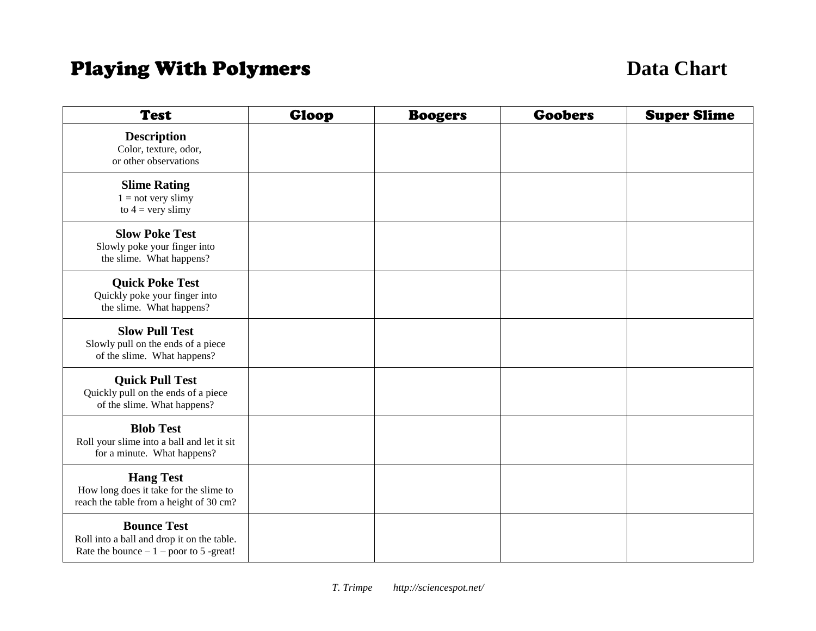# **Playing With Polymers Data Chart**

| <b>Test</b>                                                                                                  | Gloop | <b>Boogers</b> | <b>Goobers</b> | <b>Super Slime</b> |
|--------------------------------------------------------------------------------------------------------------|-------|----------------|----------------|--------------------|
| <b>Description</b><br>Color, texture, odor,<br>or other observations                                         |       |                |                |                    |
| <b>Slime Rating</b><br>$1 = not very$ slimy<br>to $4 = \text{very slimy}$                                    |       |                |                |                    |
| <b>Slow Poke Test</b><br>Slowly poke your finger into<br>the slime. What happens?                            |       |                |                |                    |
| <b>Quick Poke Test</b><br>Quickly poke your finger into<br>the slime. What happens?                          |       |                |                |                    |
| <b>Slow Pull Test</b><br>Slowly pull on the ends of a piece<br>of the slime. What happens?                   |       |                |                |                    |
| <b>Quick Pull Test</b><br>Quickly pull on the ends of a piece<br>of the slime. What happens?                 |       |                |                |                    |
| <b>Blob Test</b><br>Roll your slime into a ball and let it sit<br>for a minute. What happens?                |       |                |                |                    |
| <b>Hang Test</b><br>How long does it take for the slime to<br>reach the table from a height of 30 cm?        |       |                |                |                    |
| <b>Bounce Test</b><br>Roll into a ball and drop it on the table.<br>Rate the bounce $-1$ – poor to 5 -great! |       |                |                |                    |